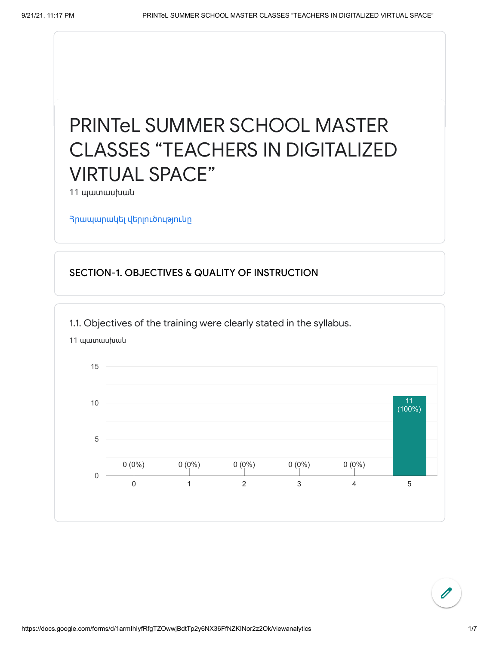# PRINTeL SUMMER SCHOOL MASTER CLASSES "TEACHERS IN DIGITALIZED VIRTUAL SPACE"

11 պատասխան

Հրապարակել [վերլուծությունը](https://docs.google.com/forms/d/1armIhIyfRfgTZOwwjBdtTp2y6NX36FfNZKINor2z2Ok/edit?usp=redirect_edit_m2#start=publishanalytics)

### SECTION-1. OBJECTIVES & QUALITY OF INSTRUCTION

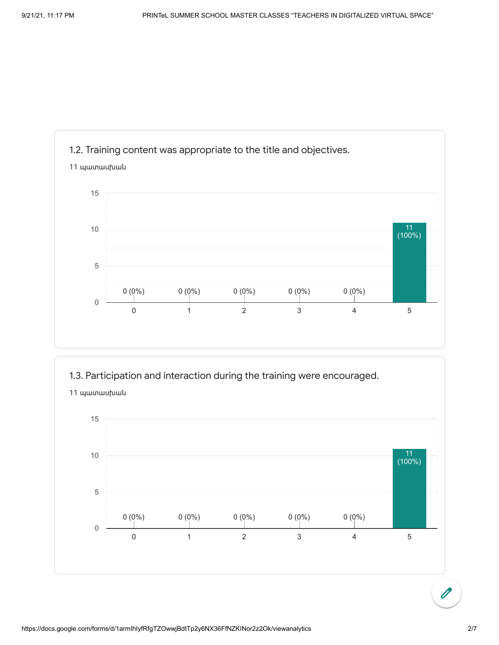





պատասխան

 $\overline{\mathscr{O}}$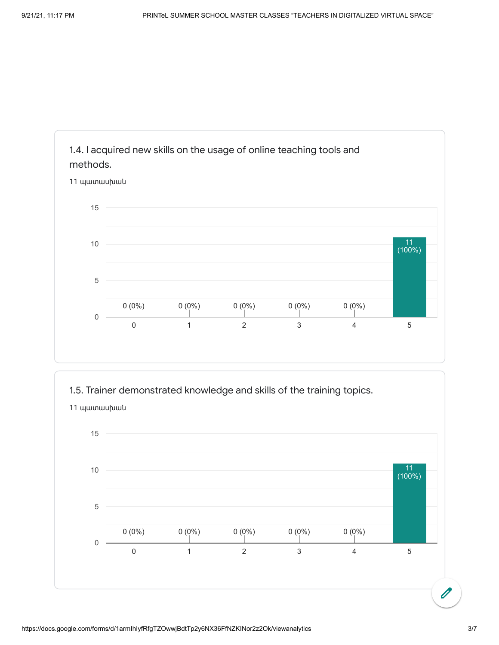

1.5. Trainer demonstrated knowledge and skills of the training topics.

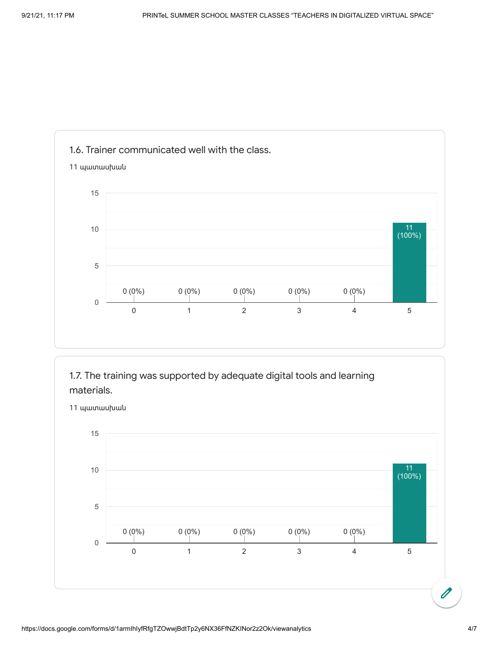





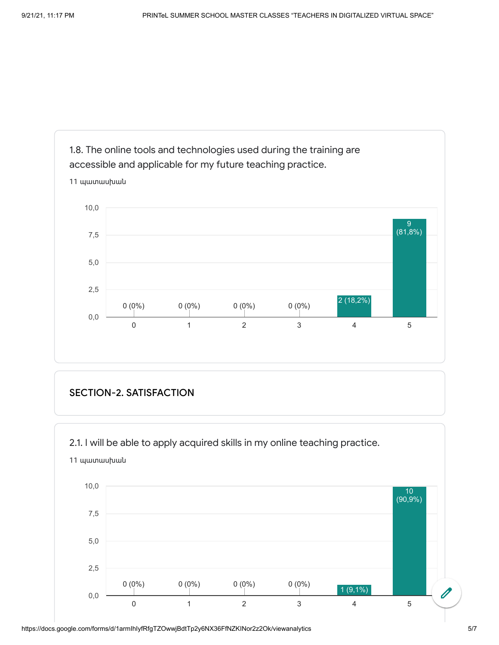

#### SECTION-2. SATISFACTION



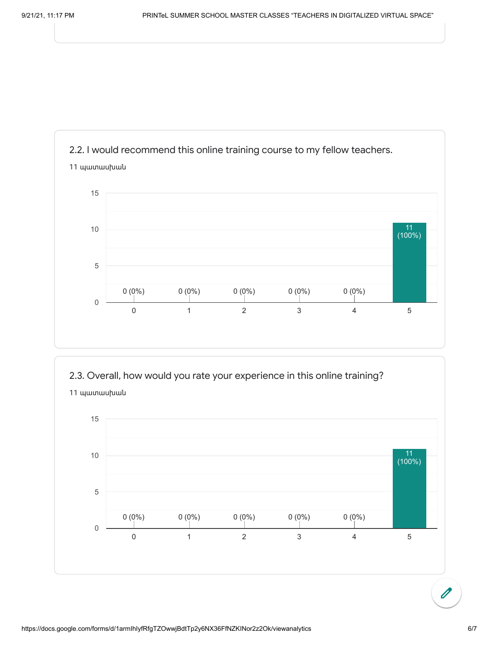



https://docs.google.com/forms/d/1armIhIyfRfgTZOwwjBdtTp2y6NX36FfNZKINor2z2Ok/viewanalytics 6/7

 $\overline{\mathscr{O}}$